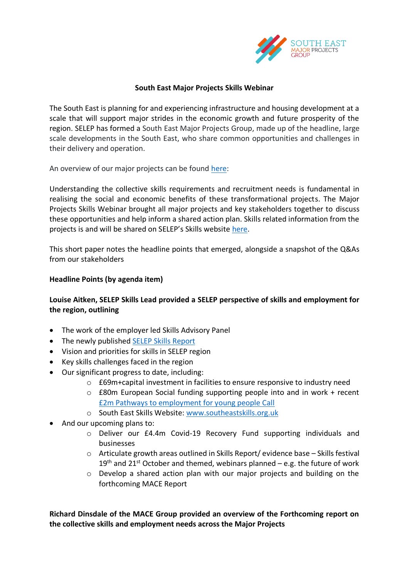

### **South East Major Projects Skills Webinar**

The South East is planning for and experiencing infrastructure and housing development at a scale that will support major strides in the economic growth and future prosperity of the region. SELEP has formed a South East Major Projects Group, made up of the headline, large scale developments in the South East, who share common opportunities and challenges in their delivery and operation.

An overview of our major projects can be found [here:](https://www.southeastlep.com/major-projects-group/)

Understanding the collective skills requirements and recruitment needs is fundamental in realising the social and economic benefits of these transformational projects. The Major Projects Skills Webinar brought all major projects and key stakeholders together to discuss these opportunities and help inform a shared action plan. Skills related information from the projects is and will be shared on SELEP's Skills website [here.](https://www.southeastskills.org.uk/labour-market-information/major-projects-group/)

This short paper notes the headline points that emerged, alongside a snapshot of the Q&As from our stakeholders

## **Headline Points (by agenda item)**

# **Louise Aitken, SELEP Skills Lead provided a SELEP perspective of skills and employment for the region, outlining**

- The work of the employer led Skills Advisory Panel
- The newly published [SELEP Skills](https://www.southeastlep.com/app/uploads/2021/03/SELEP-Local-Skills-Report-March-2021-FINAL.pdf) Report
- Vision and priorities for skills in SELEP region
- Key skills challenges faced in the region
- Our significant progress to date, including:
	- o £69m+capital investment in facilities to ensure responsive to industry need
	- $\circ$  £80m European Social funding supporting people into and in work + recent [£2m Pathways to employment for young people Call](https://www.gov.uk/european-structural-investment-funds/pathways-to-opportunity-for-young-people-oc30s21p1822)
	- o South East Skills Website: [www.southeastskills.org.uk](http://www.southeastskills.org.uk/)
- And our upcoming plans to:
	- o Deliver our £4.4m Covid-19 Recovery Fund supporting individuals and businesses
	- o Articulate growth areas outlined in Skills Report/ evidence base Skills festival  $19<sup>th</sup>$  and 21<sup>st</sup> October and themed, webinars planned – e.g. the future of work
	- o Develop a shared action plan with our major projects and building on the forthcoming MACE Report

**Richard Dinsdale of the MACE Group provided an overview of the Forthcoming report on the collective skills and employment needs across the Major Projects**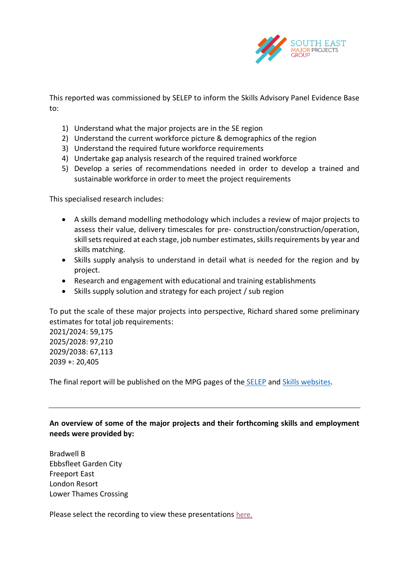

This reported was commissioned by SELEP to inform the Skills Advisory Panel Evidence Base to:

- 1) Understand what the major projects are in the SE region
- 2) Understand the current workforce picture & demographics of the region
- 3) Understand the required future workforce requirements
- 4) Undertake gap analysis research of the required trained workforce
- 5) Develop a series of recommendations needed in order to develop a trained and sustainable workforce in order to meet the project requirements

This specialised research includes:

- A skills demand modelling methodology which includes a review of major projects to assess their value, delivery timescales for pre- construction/construction/operation, skill sets required at each stage, job number estimates, skills requirements by year and skills matching.
- Skills supply analysis to understand in detail what is needed for the region and by project.
- Research and engagement with educational and training establishments
- Skills supply solution and strategy for each project / sub region

To put the scale of these major projects into perspective, Richard shared some preliminary estimates for total job requirements:

2021/2024: 59,175 2025/2028: 97,210 2029/2038: 67,113 2039 +: 20,405

The final report will be published on the MPG pages of the [SELEP](https://www.southeastlep.com/major-projects-group/) and [Skills websites.](https://www.southeastskills.org.uk/labour-market-information/major-projects-group/)

**An overview of some of the major projects and their forthcoming skills and employment needs were provided by:** 

Bradwell B Ebbsfleet Garden City Freeport East London Resort Lower Thames Crossing

Please select the recording to view these presentations [here.](https://www.southeastskills.org.uk/labour-market-information/major-projects-group/)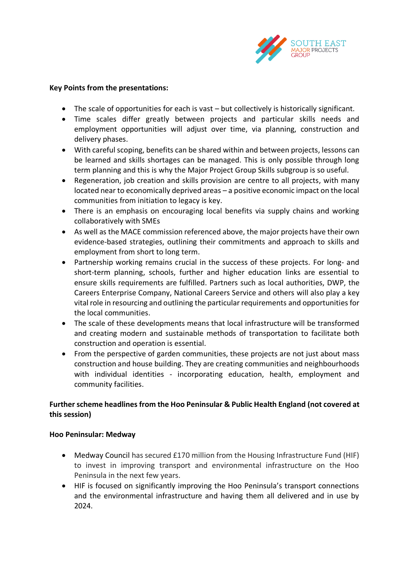

#### **Key Points from the presentations:**

- The scale of opportunities for each is vast but collectively is historically significant.
- Time scales differ greatly between projects and particular skills needs and employment opportunities will adjust over time, via planning, construction and delivery phases.
- With careful scoping, benefits can be shared within and between projects, lessons can be learned and skills shortages can be managed. This is only possible through long term planning and this is why the Major Project Group Skills subgroup is so useful.
- Regeneration, job creation and skills provision are centre to all projects, with many located near to economically deprived areas – a positive economic impact on the local communities from initiation to legacy is key.
- There is an emphasis on encouraging local benefits via supply chains and working collaboratively with SMEs
- As well as the MACE commission referenced above, the major projects have their own evidence-based strategies, outlining their commitments and approach to skills and employment from short to long term.
- Partnership working remains crucial in the success of these projects. For long- and short-term planning, schools, further and higher education links are essential to ensure skills requirements are fulfilled. Partners such as local authorities, DWP, the Careers Enterprise Company, National Careers Service and others will also play a key vital role in resourcing and outlining the particular requirements and opportunities for the local communities.
- The scale of these developments means that local infrastructure will be transformed and creating modern and sustainable methods of transportation to facilitate both construction and operation is essential.
- From the perspective of garden communities, these projects are not just about mass construction and house building. They are creating communities and neighbourhoods with individual identities - incorporating education, health, employment and community facilities.

# **Further scheme headlines from the Hoo Peninsular & Public Health England (not covered at this session)**

### **Hoo Peninsular: Medway**

- Medway Council has secured £170 million from the Housing Infrastructure Fund (HIF) to invest in improving transport and environmental infrastructure on the Hoo Peninsula in the next few years.
- HIF is focused on significantly improving the Hoo Peninsula's transport connections and the environmental infrastructure and having them all delivered and in use by 2024.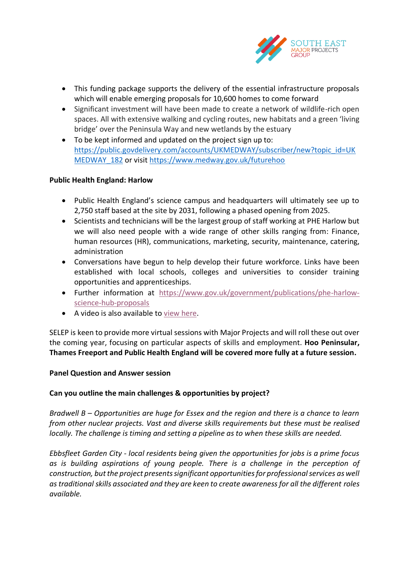

- This funding package supports the delivery of the essential infrastructure proposals which will enable emerging proposals for 10,600 homes to come forward
- Significant investment will have been made to create a network of wildlife-rich open spaces. All with extensive walking and cycling routes, new habitats and a green 'living bridge' over the Peninsula Way and new wetlands by the estuary
- To be kept informed and updated on the project sign up to: [https://public.govdelivery.com/accounts/UKMEDWAY/subscriber/new?topic\\_id=UK](https://public.govdelivery.com/accounts/UKMEDWAY/subscriber/new?topic_id=UKMEDWAY_182) [MEDWAY\\_182](https://public.govdelivery.com/accounts/UKMEDWAY/subscriber/new?topic_id=UKMEDWAY_182) or visi[t https://www.medway.gov.uk/futurehoo](https://www.medway.gov.uk/futurehoo)

## **Public Health England: Harlow**

- Public Health England's science campus and headquarters will ultimately see up to 2,750 staff based at the site by 2031, following a phased opening from 2025.
- Scientists and technicians will be the largest group of staff working at PHE Harlow but we will also need people with a wide range of other skills ranging from: Finance, human resources (HR), communications, marketing, security, maintenance, catering, administration
- Conversations have begun to help develop their future workforce. Links have been established with local schools, colleges and universities to consider training opportunities and apprenticeships.
- Further information at [https://www.gov.uk/government/publications/phe-harlow](https://www.gov.uk/government/publications/phe-harlow-science-hub-proposals)[science-hub-proposals](https://www.gov.uk/government/publications/phe-harlow-science-hub-proposals)
- A video is also available to [view here.](https://www.youtube.com/watch?v=8JNI8wxh7f8&feature=youtu.be)

SELEP is keen to provide more virtual sessions with Major Projects and will roll these out over the coming year, focusing on particular aspects of skills and employment. **Hoo Peninsular, Thames Freeport and Public Health England will be covered more fully at a future session.** 

### **Panel Question and Answer session**

### **Can you outline the main challenges & opportunities by project?**

*Bradwell B – Opportunities are huge for Essex and the region and there is a chance to learn from other nuclear projects. Vast and diverse skills requirements but these must be realised locally. The challenge is timing and setting a pipeline as to when these skills are needed.*

*Ebbsfleet Garden City - local residents being given the opportunities for jobs is a prime focus as is building aspirations of young people. There is a challenge in the perception of construction, but the project presents significant opportunities for professional services as well as traditional skills associated and they are keen to create awareness for all the different roles available.*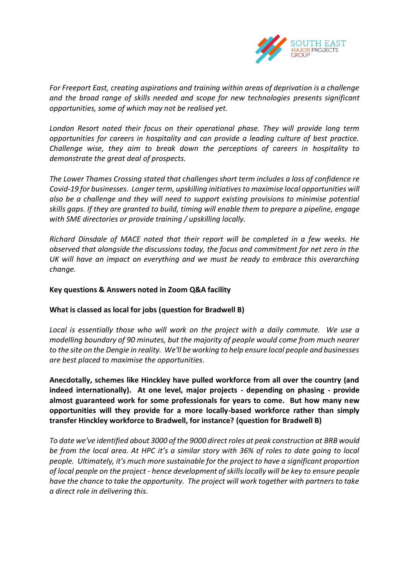

*For Freeport East, creating aspirations and training within areas of deprivation is a challenge and the broad range of skills needed and scope for new technologies presents significant opportunities, some of which may not be realised yet.*

*London Resort noted their focus on their operational phase. They will provide long term opportunities for careers in hospitality and can provide a leading culture of best practice. Challenge wise, they aim to break down the perceptions of careers in hospitality to demonstrate the great deal of prospects.* 

*The Lower Thames Crossing stated that challenges short term includes a loss of confidence re Covid-19 for businesses. Longer term, upskilling initiatives to maximise local opportunities will also be a challenge and they will need to support existing provisions to minimise potential skills gaps. If they are granted to build, timing will enable them to prepare a pipeline, engage with SME directories or provide training / upskilling locally.*

*Richard Dinsdale of MACE noted that their report will be completed in a few weeks. He observed that alongside the discussions today, the focus and commitment for net zero in the UK will have an impact on everything and we must be ready to embrace this overarching change.* 

### **Key questions & Answers noted in Zoom Q&A facility**

### **What is classed as local for jobs (question for Bradwell B)**

*Local is essentially those who will work on the project with a daily commute. We use a modelling boundary of 90 minutes, but the majority of people would come from much nearer to the site on the Dengie in reality. We'll be working to help ensure local people and businesses are best placed to maximise the opportunities*.

**Anecdotally, schemes like Hinckley have pulled workforce from all over the country (and indeed internationally). At one level, major projects - depending on phasing - provide almost guaranteed work for some professionals for years to come. But how many new opportunities will they provide for a more locally-based workforce rather than simply transfer Hinckley workforce to Bradwell, for instance? (question for Bradwell B)** 

*To date we've identified about 3000 of the 9000 direct roles at peak construction at BRB would be from the local area. At HPC it's a similar story with 36% of roles to date going to local people. Ultimately, it's much more sustainable for the project to have a significant proportion of local people on the project - hence development of skills locally will be key to ensure people have the chance to take the opportunity. The project will work together with partners to take a direct role in delivering this.*